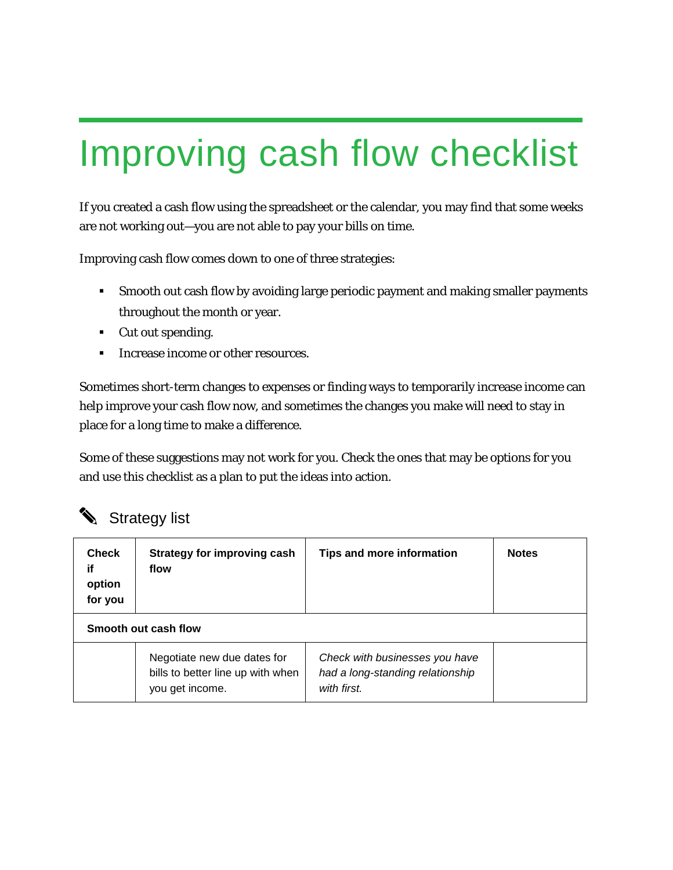## Improving cash flow checklist

If you created a cash flow using the spreadsheet or the calendar, you may find that some weeks are not working out—you are not able to pay your bills on time.

Improving cash flow comes down to one of three strategies:

- Smooth out cash flow by avoiding large periodic payment and making smaller payments throughout the month or year.
- Cut out spending.
- Increase income or other resources.

Sometimes short-term changes to expenses or finding ways to temporarily increase income can help improve your cash flow now, and sometimes the changes you make will need to stay in place for a long time to make a difference.

Some of these suggestions may not work for you. Check the ones that may be options for you and use this checklist as a plan to put the ideas into action.

## Strategy list

| Check<br>if<br>option<br>for you | Strategy for improving cash<br>flow                                                 | <b>Tips and more information</b>                                                  | <b>Notes</b> |
|----------------------------------|-------------------------------------------------------------------------------------|-----------------------------------------------------------------------------------|--------------|
| Smooth out cash flow             |                                                                                     |                                                                                   |              |
|                                  | Negotiate new due dates for<br>bills to better line up with when<br>you get income. | Check with businesses you have<br>had a long-standing relationship<br>with first. |              |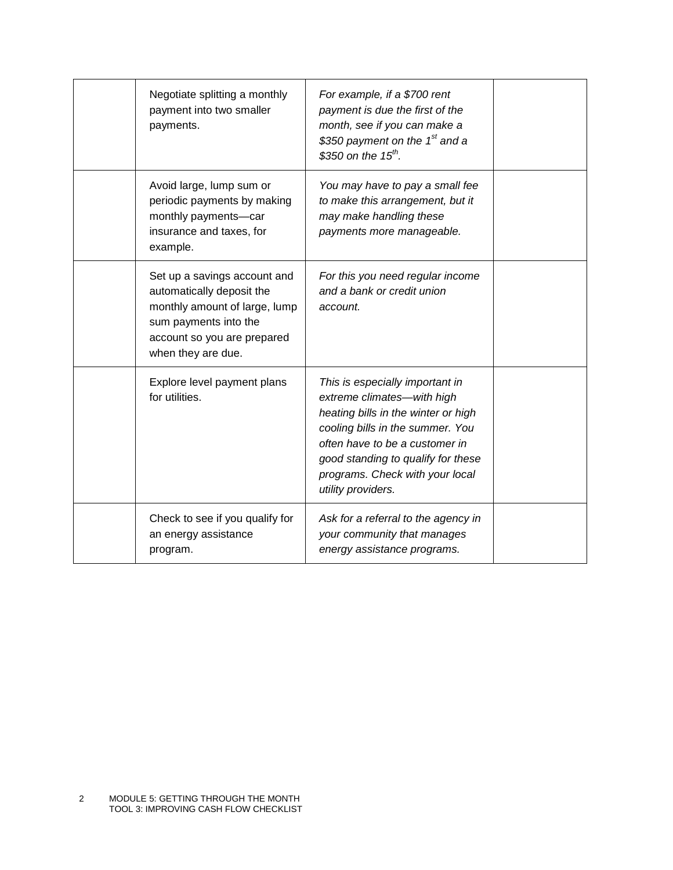| Negotiate splitting a monthly<br>payment into two smaller<br>payments.                                                                                                   | For example, if a \$700 rent<br>payment is due the first of the<br>month, see if you can make a<br>\$350 payment on the 1 <sup>st</sup> and a<br>\$350 on the $15^{th}$ .                                                                                                 |  |
|--------------------------------------------------------------------------------------------------------------------------------------------------------------------------|---------------------------------------------------------------------------------------------------------------------------------------------------------------------------------------------------------------------------------------------------------------------------|--|
| Avoid large, lump sum or<br>periodic payments by making<br>monthly payments-car<br>insurance and taxes, for<br>example.                                                  | You may have to pay a small fee<br>to make this arrangement, but it<br>may make handling these<br>payments more manageable.                                                                                                                                               |  |
| Set up a savings account and<br>automatically deposit the<br>monthly amount of large, lump<br>sum payments into the<br>account so you are prepared<br>when they are due. | For this you need regular income<br>and a bank or credit union<br>account.                                                                                                                                                                                                |  |
| Explore level payment plans<br>for utilities.                                                                                                                            | This is especially important in<br>extreme climates-with high<br>heating bills in the winter or high<br>cooling bills in the summer. You<br>often have to be a customer in<br>good standing to qualify for these<br>programs. Check with your local<br>utility providers. |  |
| Check to see if you qualify for<br>an energy assistance<br>program.                                                                                                      | Ask for a referral to the agency in<br>your community that manages<br>energy assistance programs.                                                                                                                                                                         |  |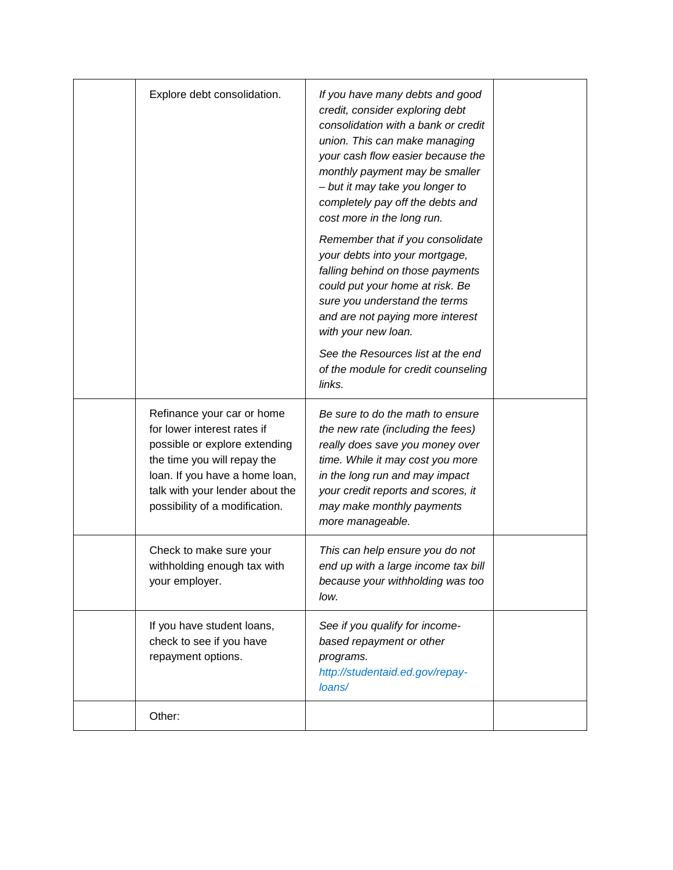| Explore debt consolidation.                                                                                                                                                                                                      | If you have many debts and good<br>credit, consider exploring debt<br>consolidation with a bank or credit<br>union. This can make managing<br>your cash flow easier because the<br>monthly payment may be smaller<br>- but it may take you longer to<br>completely pay off the debts and<br>cost more in the long run.<br>Remember that if you consolidate<br>your debts into your mortgage,<br>falling behind on those payments<br>could put your home at risk. Be<br>sure you understand the terms<br>and are not paying more interest<br>with your new loan.<br>See the Resources list at the end<br>of the module for credit counseling<br>links. |  |
|----------------------------------------------------------------------------------------------------------------------------------------------------------------------------------------------------------------------------------|-------------------------------------------------------------------------------------------------------------------------------------------------------------------------------------------------------------------------------------------------------------------------------------------------------------------------------------------------------------------------------------------------------------------------------------------------------------------------------------------------------------------------------------------------------------------------------------------------------------------------------------------------------|--|
| Refinance your car or home<br>for lower interest rates if<br>possible or explore extending<br>the time you will repay the<br>loan. If you have a home loan,<br>talk with your lender about the<br>possibility of a modification. | Be sure to do the math to ensure<br>the new rate (including the fees)<br>really does save you money over<br>time. While it may cost you more<br>in the long run and may impact<br>your credit reports and scores, it<br>may make monthly payments<br>more manageable.                                                                                                                                                                                                                                                                                                                                                                                 |  |
| Check to make sure your<br>withholding enough tax with<br>your employer.                                                                                                                                                         | This can help ensure you do not<br>end up with a large income tax bill<br>because your withholding was too<br>low.                                                                                                                                                                                                                                                                                                                                                                                                                                                                                                                                    |  |
| If you have student loans,<br>check to see if you have<br>repayment options.                                                                                                                                                     | See if you qualify for income-<br>based repayment or other<br>programs.<br>http://studentaid.ed.gov/repay-<br>loans/                                                                                                                                                                                                                                                                                                                                                                                                                                                                                                                                  |  |
| Other:                                                                                                                                                                                                                           |                                                                                                                                                                                                                                                                                                                                                                                                                                                                                                                                                                                                                                                       |  |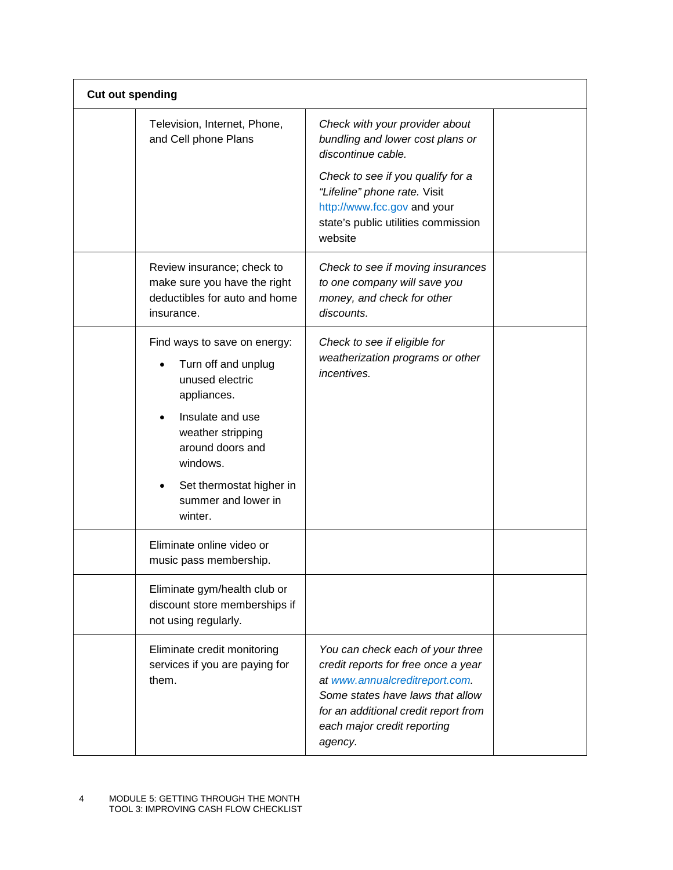| <b>Cut out spending</b> |                                                                                                                                                                                                                   |                                                                                                                                                                                                                                 |  |
|-------------------------|-------------------------------------------------------------------------------------------------------------------------------------------------------------------------------------------------------------------|---------------------------------------------------------------------------------------------------------------------------------------------------------------------------------------------------------------------------------|--|
|                         | Television, Internet, Phone,<br>and Cell phone Plans                                                                                                                                                              | Check with your provider about<br>bundling and lower cost plans or<br>discontinue cable.                                                                                                                                        |  |
|                         |                                                                                                                                                                                                                   | Check to see if you qualify for a<br>"Lifeline" phone rate. Visit<br>http://www.fcc.gov and your<br>state's public utilities commission<br>website                                                                              |  |
|                         | Review insurance; check to<br>make sure you have the right<br>deductibles for auto and home<br>insurance.                                                                                                         | Check to see if moving insurances<br>to one company will save you<br>money, and check for other<br>discounts.                                                                                                                   |  |
|                         | Find ways to save on energy:<br>Turn off and unplug<br>unused electric<br>appliances.<br>Insulate and use<br>weather stripping<br>around doors and<br>windows.<br>Set thermostat higher in<br>summer and lower in | Check to see if eligible for<br>weatherization programs or other<br>incentives.                                                                                                                                                 |  |
|                         | winter.<br>Eliminate online video or<br>music pass membership.                                                                                                                                                    |                                                                                                                                                                                                                                 |  |
|                         | Eliminate gym/health club or<br>discount store memberships if<br>not using regularly.                                                                                                                             |                                                                                                                                                                                                                                 |  |
|                         | Eliminate credit monitoring<br>services if you are paying for<br>them.                                                                                                                                            | You can check each of your three<br>credit reports for free once a year<br>at www.annualcreditreport.com.<br>Some states have laws that allow<br>for an additional credit report from<br>each major credit reporting<br>agency. |  |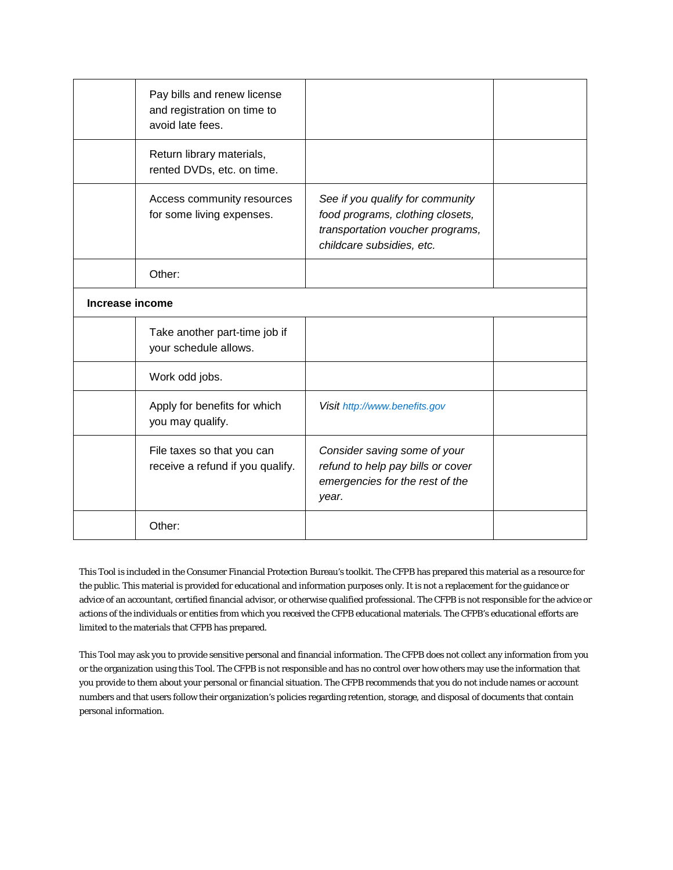|                 | Pay bills and renew license<br>and registration on time to<br>avoid late fees. |                                                                                                                                       |  |
|-----------------|--------------------------------------------------------------------------------|---------------------------------------------------------------------------------------------------------------------------------------|--|
|                 | Return library materials,<br>rented DVDs, etc. on time.                        |                                                                                                                                       |  |
|                 | Access community resources<br>for some living expenses.                        | See if you qualify for community<br>food programs, clothing closets,<br>transportation voucher programs,<br>childcare subsidies, etc. |  |
|                 | Other:                                                                         |                                                                                                                                       |  |
| Increase income |                                                                                |                                                                                                                                       |  |
|                 | Take another part-time job if<br>your schedule allows.                         |                                                                                                                                       |  |
|                 | Work odd jobs.                                                                 |                                                                                                                                       |  |
|                 | Apply for benefits for which<br>you may qualify.                               | Visit http://www.benefits.gov                                                                                                         |  |
|                 | File taxes so that you can<br>receive a refund if you qualify.                 | Consider saving some of your<br>refund to help pay bills or cover<br>emergencies for the rest of the<br>year.                         |  |
|                 | Other:                                                                         |                                                                                                                                       |  |

This Tool is included in the Consumer Financial Protection Bureau's toolkit. The CFPB has prepared this material as a resource for the public. This material is provided for educational and information purposes only. It is not a replacement for the guidance or advice of an accountant, certified financial advisor, or otherwise qualified professional. The CFPB is not responsible for the advice or actions of the individuals or entities from which you received the CFPB educational materials. The CFPB's educational efforts are limited to the materials that CFPB has prepared.

This Tool may ask you to provide sensitive personal and financial information. The CFPB does not collect any information from you or the organization using this Tool. The CFPB is not responsible and has no control over how others may use the information that you provide to them about your personal or financial situation. The CFPB recommends that you do not include names or account numbers and that users follow their organization's policies regarding retention, storage, and disposal of documents that contain personal information.